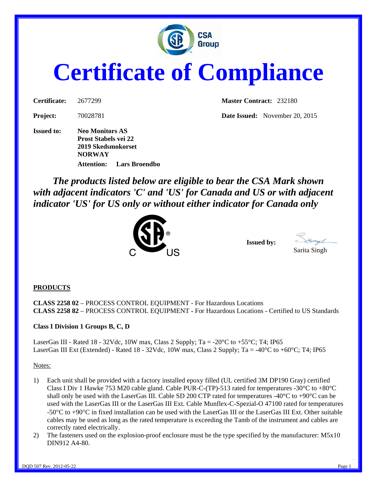

# **Certificate of Compliance**

**Issued to: Neo Monitors AS Prost Stabels vei 22 2019 Skedsmokorset NORWAY Attention: Lars Broendbo** 

**Certificate:** 2677299 **Master Contract:** 232180

**Project:** 70028781 **Date Issued:** November 20, 2015

*The products listed below are eligible to bear the CSA Mark shown with adjacent indicators 'C' and 'US' for Canada and US or with adjacent indicator 'US' for US only or without either indicator for Canada only* 



**Issued by:** Sarita Singh

#### **PRODUCTS**

**CLASS 2258 02** – PROCESS CONTROL EQUIPMENT - For Hazardous Locations **CLASS 2258 82** – PROCESS CONTROL EQUIPMENT - For Hazardous Locations - Certified to US Standards

#### **Class I Division 1 Groups B, C, D**

LaserGas III - Rated 18 - 32Vdc, 10W max, Class 2 Supply; Ta = -20 $^{\circ}$ C to +55 $^{\circ}$ C; T4; IP65 LaserGas III Ext (Extended) - Rated 18 - 32Vdc, 10W max, Class 2 Supply; Ta = -40°C to +60°C; T4; IP65

Notes:

- 1) Each unit shall be provided with a factory installed epoxy filled (UL certified 3M DP190 Gray) certified Class I Div 1 Hawke 753 M20 cable gland. Cable PUR-C-(TP)-513 rated for temperatures -30 $^{\circ}$ C to +80 $^{\circ}$ C shall only be used with the LaserGas III. Cable SD 200 CTP rated for temperatures -40°C to +90°C can be used with the LaserGas III or the LaserGas III Ext. Cable Munflex-C-Spezial-O 47100 rated for temperatures -50°C to +90°C in fixed installation can be used with the LaserGas III or the LaserGas III Ext. Other suitable cables may be used as long as the rated temperature is exceeding the Tamb of the instrument and cables are correctly rated electrically.
- 2) The fasteners used on the explosion-proof enclosure must be the type specified by the manufacturer: M5x10 DIN912 A4-80.

For the contract of the contract of the contract of the contract of the contract of the contract of the contract of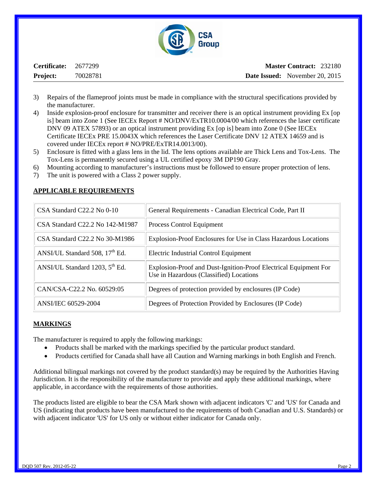

| Certificate:    | 2677299  |
|-----------------|----------|
| <b>Project:</b> | 70028781 |

- 3) Repairs of the flameproof joints must be made in compliance with the structural specifications provided by the manufacturer.
- 4) Inside explosion-proof enclosure for transmitter and receiver there is an optical instrument providing Ex [op is] beam into Zone 1 (See IECEx Report # NO/DNV/ExTR10.0004/00 which references the laser certificate DNV 09 ATEX 57893) or an optical instrument providing Ex [op is] beam into Zone 0 (See IECEx Certificate IECEx PRE 15.0043X which references the Laser Certificate DNV 12 ATEX 14659 and is covered under IECEx report # NO/PRE/ExTR14.0013/00).
- 5) Enclosure is fitted with a glass lens in the lid. The lens options available are Thick Lens and Tox-Lens. The Tox-Lens is permanently secured using a UL certified epoxy 3M DP190 Gray.
- 6) Mounting according to manufacturer's instructions must be followed to ensure proper protection of lens.
- 7) The unit is powered with a Class 2 power supply.

| $CSA$ Standard $C22.2$ No 0-10             | General Requirements - Canadian Electrical Code, Part II                                                    |
|--------------------------------------------|-------------------------------------------------------------------------------------------------------------|
| CSA Standard C22.2 No 142-M1987            | Process Control Equipment                                                                                   |
| $CSA$ Standard $C22.2$ No 30-M1986         | Explosion-Proof Enclosures for Use in Class Hazardous Locations                                             |
| ANSI/UL Standard 508, 17 <sup>th</sup> Ed. | Electric Industrial Control Equipment                                                                       |
| ANSI/UL Standard 1203, 5 <sup>th</sup> Ed. | Explosion-Proof and Dust-Ignition-Proof Electrical Equipment For<br>Use in Hazardous (Classified) Locations |
| CAN/CSA-C22.2 No. 60529:05                 | Degrees of protection provided by enclosures (IP Code)                                                      |
| ANSI/IEC 60529-2004                        | Degrees of Protection Provided by Enclosures (IP Code)                                                      |

#### **APPLICABLE REQUIREMENTS**

#### **MARKINGS**

The manufacturer is required to apply the following markings:

- Products shall be marked with the markings specified by the particular product standard.
- Products certified for Canada shall have all Caution and Warning markings in both English and French.

Additional bilingual markings not covered by the product standard(s) may be required by the Authorities Having Jurisdiction. It is the responsibility of the manufacturer to provide and apply these additional markings, where applicable, in accordance with the requirements of those authorities.

The products listed are eligible to bear the CSA Mark shown with adjacent indicators 'C' and 'US' for Canada and US (indicating that products have been manufactured to the requirements of both Canadian and U.S. Standards) or with adjacent indicator 'US' for US only or without either indicator for Canada only.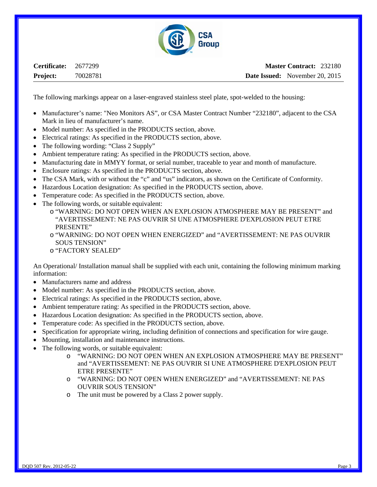

**Certificate:** 2677299 **Project:** 70028781

The following markings appear on a laser-engraved stainless steel plate, spot-welded to the housing:

- Manufacturer's name: "Neo Monitors AS", or CSA Master Contract Number "232180", adjacent to the CSA Mark in lieu of manufacturer's name.
- Model number: As specified in the PRODUCTS section, above.
- Electrical ratings: As specified in the PRODUCTS section, above.
- The following wording: "Class 2 Supply"
- Ambient temperature rating: As specified in the PRODUCTS section, above.
- Manufacturing date in MMYY format, or serial number, traceable to year and month of manufacture.
- Enclosure ratings: As specified in the PRODUCTS section, above.
- The CSA Mark, with or without the "c" and "us" indicators, as shown on the Certificate of Conformity.
- Hazardous Location designation: As specified in the PRODUCTS section, above.
- Temperature code: As specified in the PRODUCTS section, above.
- The following words, or suitable equivalent:
	- o "WARNING: DO NOT OPEN WHEN AN EXPLOSION ATMOSPHERE MAY BE PRESENT" and "AVERTISSEMENT: NE PAS OUVRIR SI UNE ATMOSPHERE D'EXPLOSION PEUT ETRE PRESENTE"
	- o "WARNING: DO NOT OPEN WHEN ENERGIZED" and "AVERTISSEMENT: NE PAS OUVRIR SOUS TENSION"
	- o "FACTORY SEALED"

An Operational/ Installation manual shall be supplied with each unit, containing the following minimum marking information:

- Manufacturers name and address
- Model number: As specified in the PRODUCTS section, above.
- Electrical ratings: As specified in the PRODUCTS section, above.
- Ambient temperature rating: As specified in the PRODUCTS section, above.
- Hazardous Location designation: As specified in the PRODUCTS section, above.
- Temperature code: As specified in the PRODUCTS section, above.
- Specification for appropriate wiring, including definition of connections and specification for wire gauge.
- Mounting, installation and maintenance instructions.
- The following words, or suitable equivalent:
	- o "WARNING: DO NOT OPEN WHEN AN EXPLOSION ATMOSPHERE MAY BE PRESENT" and "AVERTISSEMENT: NE PAS OUVRIR SI UNE ATMOSPHERE D'EXPLOSION PEUT ETRE PRESENTE"
	- o "WARNING: DO NOT OPEN WHEN ENERGIZED" and "AVERTISSEMENT: NE PAS OUVRIR SOUS TENSION"
	- o The unit must be powered by a Class 2 power supply.